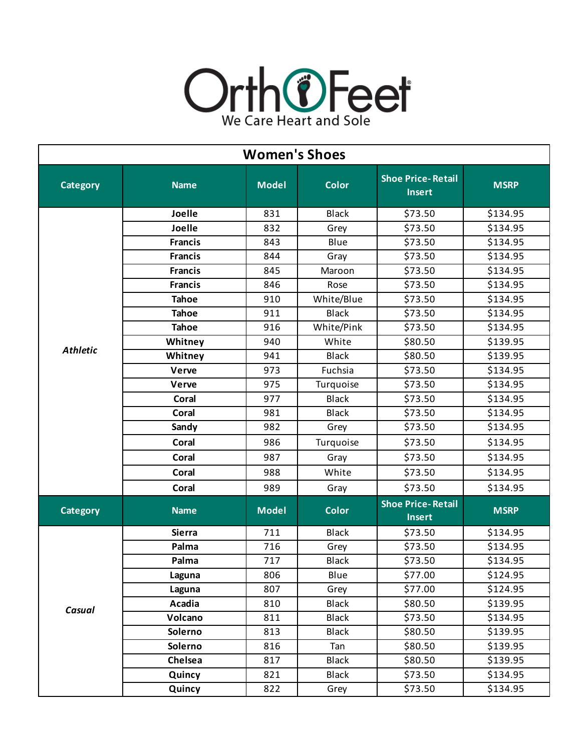

| <b>Women's Shoes</b> |                |              |              |                                           |             |  |
|----------------------|----------------|--------------|--------------|-------------------------------------------|-------------|--|
| <b>Category</b>      | <b>Name</b>    | <b>Model</b> | <b>Color</b> | <b>Shoe Price-Retail</b><br><b>Insert</b> | <b>MSRP</b> |  |
|                      | Joelle         | 831          | <b>Black</b> | \$73.50                                   | \$134.95    |  |
|                      | Joelle         | 832          | Grey         | \$73.50                                   | \$134.95    |  |
|                      | <b>Francis</b> | 843          | Blue         | \$73.50                                   | \$134.95    |  |
|                      | <b>Francis</b> | 844          | Gray         | \$73.50                                   | \$134.95    |  |
|                      | <b>Francis</b> | 845          | Maroon       | \$73.50                                   | \$134.95    |  |
|                      | <b>Francis</b> | 846          | Rose         | \$73.50                                   | \$134.95    |  |
|                      | <b>Tahoe</b>   | 910          | White/Blue   | \$73.50                                   | \$134.95    |  |
|                      | <b>Tahoe</b>   | 911          | <b>Black</b> | \$73.50                                   | \$134.95    |  |
|                      | <b>Tahoe</b>   | 916          | White/Pink   | \$73.50                                   | \$134.95    |  |
|                      | Whitney        | 940          | White        | \$80.50                                   | \$139.95    |  |
| <b>Athletic</b>      | Whitney        | 941          | <b>Black</b> | \$80.50                                   | \$139.95    |  |
|                      | Verve          | 973          | Fuchsia      | \$73.50                                   | \$134.95    |  |
|                      | <b>Verve</b>   | 975          | Turquoise    | \$73.50                                   | \$134.95    |  |
|                      | <b>Coral</b>   | 977          | <b>Black</b> | \$73.50                                   | \$134.95    |  |
|                      | Coral          | 981          | <b>Black</b> | \$73.50                                   | \$134.95    |  |
|                      | Sandy          | 982          | Grey         | \$73.50                                   | \$134.95    |  |
|                      | Coral          | 986          | Turquoise    | \$73.50                                   | \$134.95    |  |
|                      | <b>Coral</b>   | 987          | Gray         | \$73.50                                   | \$134.95    |  |
|                      | Coral          | 988          | White        | \$73.50                                   | \$134.95    |  |
|                      | Coral          | 989          | Gray         | \$73.50                                   | \$134.95    |  |
| <b>Category</b>      | <b>Name</b>    | <b>Model</b> | <b>Color</b> | <b>Shoe Price-Retail</b><br><b>Insert</b> | <b>MSRP</b> |  |
| Casual               | <b>Sierra</b>  | 711          | <b>Black</b> | \$73.50                                   | \$134.95    |  |
|                      | Palma          | 716          | Grey         | \$73.50                                   | \$134.95    |  |
|                      | Palma          | 717          | <b>Black</b> | \$73.50                                   | \$134.95    |  |
|                      | Laguna         | 806          | Blue         | \$77.00                                   | \$124.95    |  |
|                      | Laguna         | 807          | Grey         | \$77.00                                   | \$124.95    |  |
|                      | Acadia         | 810          | <b>Black</b> | \$80.50                                   | \$139.95    |  |
|                      | Volcano        | 811          | <b>Black</b> | \$73.50                                   | \$134.95    |  |
|                      | Solerno        | 813          | <b>Black</b> | \$80.50                                   | \$139.95    |  |
|                      | Solerno        | 816          | Tan          | \$80.50                                   | \$139.95    |  |
|                      | Chelsea        | 817          | <b>Black</b> | \$80.50                                   | \$139.95    |  |
|                      | Quincy         | 821          | <b>Black</b> | \$73.50                                   | \$134.95    |  |
|                      | Quincy         | 822          | Grey         | \$73.50                                   | \$134.95    |  |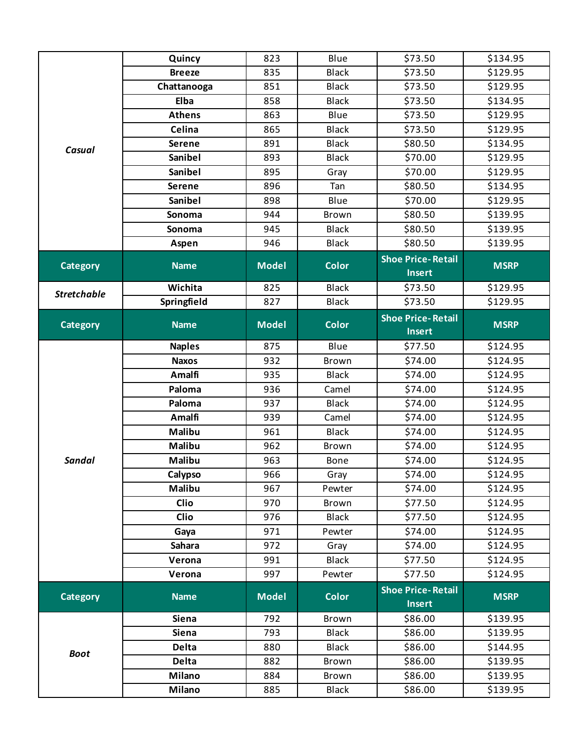| Casual             | Quincy        | 823          | Blue         | \$73.50                                   | \$134.95    |
|--------------------|---------------|--------------|--------------|-------------------------------------------|-------------|
|                    | <b>Breeze</b> | 835          | <b>Black</b> | \$73.50                                   | \$129.95    |
|                    | Chattanooga   | 851          | <b>Black</b> | \$73.50                                   | \$129.95    |
|                    | Elba          | 858          | <b>Black</b> | \$73.50                                   | \$134.95    |
|                    | <b>Athens</b> | 863          | Blue         | \$73.50                                   | \$129.95    |
|                    | Celina        | 865          | <b>Black</b> | \$73.50                                   | \$129.95    |
|                    | <b>Serene</b> | 891          | <b>Black</b> | \$80.50                                   | \$134.95    |
|                    | Sanibel       | 893          | <b>Black</b> | \$70.00                                   | \$129.95    |
|                    | Sanibel       | 895          | Gray         | \$70.00                                   | \$129.95    |
|                    | <b>Serene</b> | 896          | Tan          | \$80.50                                   | \$134.95    |
|                    | Sanibel       | 898          | Blue         | \$70.00                                   | \$129.95    |
|                    | Sonoma        | 944          | Brown        | \$80.50                                   | \$139.95    |
|                    | Sonoma        | 945          | <b>Black</b> | \$80.50                                   | \$139.95    |
|                    | Aspen         | 946          | <b>Black</b> | \$80.50                                   | \$139.95    |
| <b>Category</b>    | <b>Name</b>   | <b>Model</b> | <b>Color</b> | <b>Shoe Price-Retail</b><br><b>Insert</b> | <b>MSRP</b> |
| <b>Stretchable</b> | Wichita       | 825          | <b>Black</b> | \$73.50                                   | \$129.95    |
|                    | Springfield   | 827          | <b>Black</b> | \$73.50                                   | \$129.95    |
| <b>Category</b>    | <b>Name</b>   | <b>Model</b> | <b>Color</b> | <b>Shoe Price-Retail</b><br><b>Insert</b> | <b>MSRP</b> |
|                    | <b>Naples</b> | 875          | Blue         | \$77.50                                   | \$124.95    |
|                    | <b>Naxos</b>  | 932          | Brown        | \$74.00                                   | \$124.95    |
|                    | <b>Amalfi</b> | 935          | <b>Black</b> | \$74.00                                   | \$124.95    |
|                    | Paloma        | 936          | Camel        | \$74.00                                   | \$124.95    |
|                    | Paloma        | 937          | <b>Black</b> | \$74.00                                   | \$124.95    |
|                    | <b>Amalfi</b> | 939          | Camel        | \$74.00                                   | \$124.95    |
|                    | <b>Malibu</b> | 961          | <b>Black</b> | \$74.00                                   | \$124.95    |
|                    | Malibu        | 962          | Brown        | \$74.00                                   | \$124.95    |
| <b>Sandal</b>      | Malibu        | 963          | Bone         | \$74.00                                   | \$124.95    |
|                    | Calypso       | 966          | Gray         | \$74.00                                   | \$124.95    |
|                    | <b>Malibu</b> | 967          | Pewter       | \$74.00                                   | \$124.95    |
|                    | <b>Clio</b>   | 970          | Brown        | \$77.50                                   | \$124.95    |
|                    | <b>Clio</b>   | 976          | <b>Black</b> | \$77.50                                   | \$124.95    |
|                    | Gaya          | 971          | Pewter       | \$74.00                                   | \$124.95    |
|                    | Sahara        | 972          | Gray         | \$74.00                                   | \$124.95    |
|                    | Verona        | 991          | <b>Black</b> | \$77.50                                   | \$124.95    |
|                    | Verona        | 997          | Pewter       | \$77.50                                   | \$124.95    |
| <b>Category</b>    | <b>Name</b>   | <b>Model</b> | <b>Color</b> | <b>Shoe Price-Retail</b><br><b>Insert</b> | <b>MSRP</b> |
| <b>Boot</b>        | <b>Siena</b>  | 792          | Brown        | \$86.00                                   | \$139.95    |
|                    | <b>Siena</b>  | 793          | <b>Black</b> | \$86.00                                   | \$139.95    |
|                    | <b>Delta</b>  | 880          | <b>Black</b> | \$86.00                                   | \$144.95    |
|                    | <b>Delta</b>  | 882          | Brown        | \$86.00                                   | \$139.95    |
|                    | <b>Milano</b> | 884          | Brown        | \$86.00                                   | \$139.95    |
|                    | <b>Milano</b> | 885          | <b>Black</b> | \$86.00                                   | \$139.95    |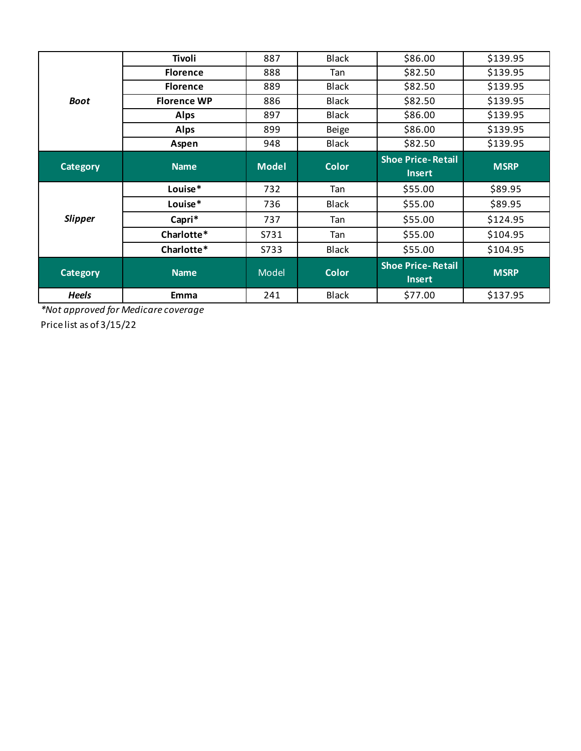|                 | Tivoli             | 887          | <b>Black</b> | \$86.00                                   | \$139.95    |
|-----------------|--------------------|--------------|--------------|-------------------------------------------|-------------|
| <b>Boot</b>     | <b>Florence</b>    | 888          | Tan          | \$82.50                                   | \$139.95    |
|                 | <b>Florence</b>    | 889          | <b>Black</b> | \$82.50                                   | \$139.95    |
|                 | <b>Florence WP</b> | 886          | <b>Black</b> | \$82.50                                   | \$139.95    |
|                 | <b>Alps</b>        | 897          | <b>Black</b> | \$86.00                                   | \$139.95    |
|                 | <b>Alps</b>        | 899          | <b>Beige</b> | \$86.00                                   | \$139.95    |
|                 | Aspen              | 948          | <b>Black</b> | \$82.50                                   | \$139.95    |
| <b>Category</b> | <b>Name</b>        | <b>Model</b> | <b>Color</b> | <b>Shoe Price-Retail</b><br><b>Insert</b> | <b>MSRP</b> |
|                 | Louise*            | 732          | Tan          | \$55.00                                   | \$89.95     |
| <b>Slipper</b>  | Louise*            | 736          | <b>Black</b> | \$55.00                                   | \$89.95     |
|                 | Capri*             | 737          | Tan          | \$55.00                                   | \$124.95    |
|                 | Charlotte*         | S731         | Tan          | \$55.00                                   | \$104.95    |
|                 | Charlotte*         | S733         | Black        | \$55.00                                   | \$104.95    |
| <b>Category</b> | <b>Name</b>        | Model        | <b>Color</b> | <b>Shoe Price-Retail</b><br><b>Insert</b> | <b>MSRP</b> |
| <b>Heels</b>    | Emma               | 241          | <b>Black</b> | \$77.00                                   | \$137.95    |

*\*Not approved for Medicare coverage*

Price list as of 3/15/22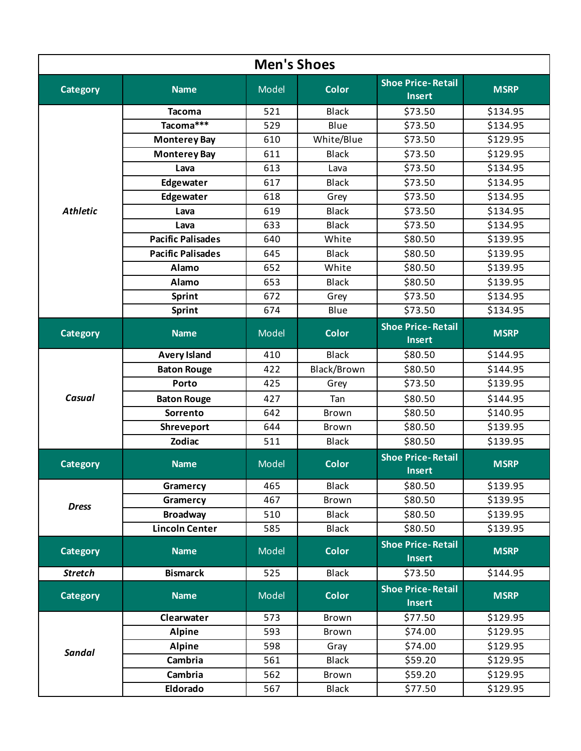| <b>Men's Shoes</b> |                          |              |              |                                           |             |  |
|--------------------|--------------------------|--------------|--------------|-------------------------------------------|-------------|--|
| <b>Category</b>    | <b>Name</b>              | Model        | <b>Color</b> | <b>Shoe Price-Retail</b><br><b>Insert</b> | <b>MSRP</b> |  |
|                    | <b>Tacoma</b>            | 521          | <b>Black</b> | \$73.50                                   | \$134.95    |  |
|                    | Tacoma***                | 529          | Blue         | \$73.50                                   | \$134.95    |  |
|                    | <b>Monterey Bay</b>      | 610          | White/Blue   | \$73.50                                   | \$129.95    |  |
|                    | <b>Monterey Bay</b>      | 611          | <b>Black</b> | \$73.50                                   | \$129.95    |  |
|                    | Lava                     | 613          | Lava         | \$73.50                                   | \$134.95    |  |
|                    | Edgewater                | 617          | <b>Black</b> | \$73.50                                   | \$134.95    |  |
|                    | Edgewater                | 618          | Grey         | \$73.50                                   | \$134.95    |  |
| <b>Athletic</b>    | Lava                     | 619          | <b>Black</b> | \$73.50                                   | \$134.95    |  |
|                    | Lava                     | 633          | <b>Black</b> | \$73.50                                   | \$134.95    |  |
|                    | <b>Pacific Palisades</b> | 640          | White        | \$80.50                                   | \$139.95    |  |
|                    | <b>Pacific Palisades</b> | 645          | <b>Black</b> | \$80.50                                   | \$139.95    |  |
|                    | Alamo                    | 652          | White        | \$80.50                                   | \$139.95    |  |
|                    | Alamo                    | 653          | <b>Black</b> | \$80.50                                   | \$139.95    |  |
|                    | <b>Sprint</b>            | 672          | Grey         | \$73.50                                   | \$134.95    |  |
|                    | Sprint                   | 674          | Blue         | \$73.50                                   | \$134.95    |  |
| <b>Category</b>    | <b>Name</b>              | <b>Model</b> | <b>Color</b> | <b>Shoe Price-Retail</b><br><b>Insert</b> | <b>MSRP</b> |  |
|                    | <b>Avery Island</b>      | 410          | <b>Black</b> | \$80.50                                   | \$144.95    |  |
|                    | <b>Baton Rouge</b>       | 422          | Black/Brown  | \$80.50                                   | \$144.95    |  |
|                    | Porto                    | 425          | Grey         | \$73.50                                   | \$139.95    |  |
| Casual             | <b>Baton Rouge</b>       | 427          | Tan          | \$80.50                                   | \$144.95    |  |
|                    | Sorrento                 | 642          | Brown        | \$80.50                                   | \$140.95    |  |
|                    | Shreveport               | 644          | Brown        | \$80.50                                   | \$139.95    |  |
|                    | <b>Zodiac</b>            | 511          | <b>Black</b> | \$80.50                                   | \$139.95    |  |
| <b>Category</b>    | <b>Name</b>              | <b>Model</b> | <b>Color</b> | <b>Shoe Price-Retail</b><br><b>Insert</b> | <b>MSRP</b> |  |
|                    | Gramercy                 | 465          | <b>Black</b> | \$80.50                                   | \$139.95    |  |
| <b>Dress</b>       | Gramercy                 | 467          | Brown        | \$80.50                                   | \$139.95    |  |
|                    | <b>Broadway</b>          | 510          | <b>Black</b> | \$80.50                                   | \$139.95    |  |
|                    | <b>Lincoln Center</b>    | 585          | <b>Black</b> | \$80.50                                   | \$139.95    |  |
| <b>Category</b>    | <b>Name</b>              | Model        | <b>Color</b> | <b>Shoe Price-Retail</b><br><b>Insert</b> | <b>MSRP</b> |  |
| <b>Stretch</b>     | <b>Bismarck</b>          | 525          | <b>Black</b> | \$73.50                                   | \$144.95    |  |
| <b>Category</b>    | <b>Name</b>              | Model        | <b>Color</b> | <b>Shoe Price-Retail</b><br><b>Insert</b> | <b>MSRP</b> |  |
| <b>Sandal</b>      | Clearwater               | 573          | Brown        | \$77.50                                   | \$129.95    |  |
|                    | <b>Alpine</b>            | 593          | Brown        | \$74.00                                   | \$129.95    |  |
|                    | <b>Alpine</b>            | 598          | Gray         | \$74.00                                   | \$129.95    |  |
|                    | Cambria                  | 561          | <b>Black</b> | \$59.20                                   | \$129.95    |  |
|                    | Cambria                  | 562          | Brown        | \$59.20                                   | \$129.95    |  |
|                    | Eldorado                 | 567          | <b>Black</b> | \$77.50                                   | \$129.95    |  |